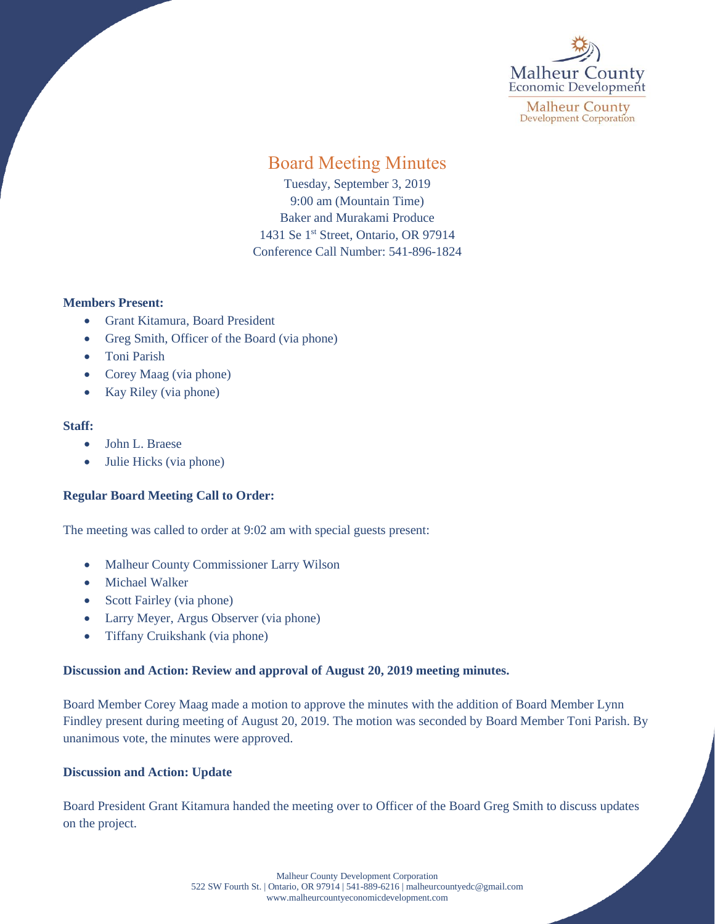

**Malheur County Development Corporation** 

# Board Meeting Minutes

Tuesday, September 3, 2019 9:00 am (Mountain Time) Baker and Murakami Produce 1431 Se 1<sup>st</sup> Street, Ontario, OR 97914 Conference Call Number: 541-896-1824

# **Members Present:**

- Grant Kitamura, Board President
- Greg Smith, Officer of the Board (via phone)
- Toni Parish
- Corey Maag (via phone)
- Kay Riley (via phone)

#### **Staff:**

- John L. Braese
- Julie Hicks (via phone)

# **Regular Board Meeting Call to Order:**

The meeting was called to order at 9:02 am with special guests present:

- Malheur County Commissioner Larry Wilson
- Michael Walker
- Scott Fairley (via phone)
- Larry Meyer, Argus Observer (via phone)
- Tiffany Cruikshank (via phone)

# **Discussion and Action: Review and approval of August 20, 2019 meeting minutes.**

Board Member Corey Maag made a motion to approve the minutes with the addition of Board Member Lynn Findley present during meeting of August 20, 2019. The motion was seconded by Board Member Toni Parish. By unanimous vote, the minutes were approved.

# **Discussion and Action: Update**

Board President Grant Kitamura handed the meeting over to Officer of the Board Greg Smith to discuss updates on the project.